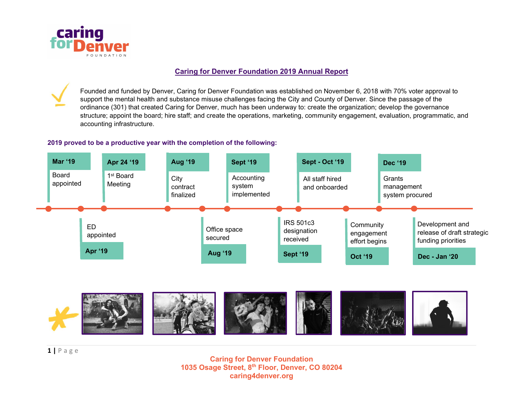

#### Caring for Denver Foundation 2019 Annual Report

Founded and funded by Denver, Caring for Denver Foundation was established on November 6, 2018 with 70% voter approval to support the mental health and substance misuse challenges facing the City and County of Denver. Since the passage of the ordinance (301) that created Caring for Denver, much has been underway to: create the organization; develop the governance structure; appoint the board; hire staff; and create the operations, marketing, community engagement, evaluation, programmatic, and accounting infrastructure.

#### 2019 proved to be a productive year with the completion of the following:





 $1 | P$  a g e

Caring for Denver Foundation 1035 Osage Street, 8th Floor, Denver, CO 80204 caring4denver.org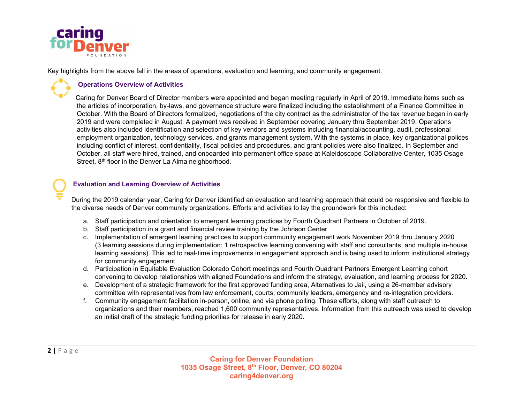

Key highlights from the above fall in the areas of operations, evaluation and learning, and community engagement.

### Operations Overview of Activities

 Caring for Denver Board of Director members were appointed and began meeting regularly in April of 2019. Immediate items such as the articles of incorporation, by-laws, and governance structure were finalized including the establishment of a Finance Committee in October. With the Board of Directors formalized, negotiations of the city contract as the administrator of the tax revenue began in early 2019 and were completed in August. A payment was received in September covering January thru September 2019. Operations activities also included identification and selection of key vendors and systems including financial/accounting, audit, professional employment organization, technology services, and grants management system. With the systems in place, key organizational polices including conflict of interest, confidentiality, fiscal policies and procedures, and grant policies were also finalized. In September and October, all staff were hired, trained, and onboarded into permanent office space at Kaleidoscope Collaborative Center, 1035 Osage Street, 8<sup>th</sup> floor in the Denver La Alma neighborhood.

### Evaluation and Learning Overview of Activities

During the 2019 calendar year, Caring for Denver identified an evaluation and learning approach that could be responsive and flexible to the diverse needs of Denver community organizations. Efforts and activities to lay the groundwork for this included:

- a. Staff participation and orientation to emergent learning practices by Fourth Quadrant Partners in October of 2019.
- b. Staff participation in a grant and financial review training by the Johnson Center
- c. Implementation of emergent learning practices to support community engagement work November 2019 thru January 2020 (3 learning sessions during implementation: 1 retrospective learning convening with staff and consultants; and multiple in-house learning sessions). This led to real-time improvements in engagement approach and is being used to inform institutional strategy for community engagement.
- d. Participation in Equitable Evaluation Colorado Cohort meetings and Fourth Quadrant Partners Emergent Learning cohort convening to develop relationships with aligned Foundations and inform the strategy, evaluation, and learning process for 2020.
- e. Development of a strategic framework for the first approved funding area, Alternatives to Jail, using a 26-member advisory committee with representatives from law enforcement, courts, community leaders, emergency and re-integration providers.
- f. Community engagement facilitation in-person, online, and via phone polling. These efforts, along with staff outreach to organizations and their members, reached 1,600 community representatives. Information from this outreach was used to develop an initial draft of the strategic funding priorities for release in early 2020.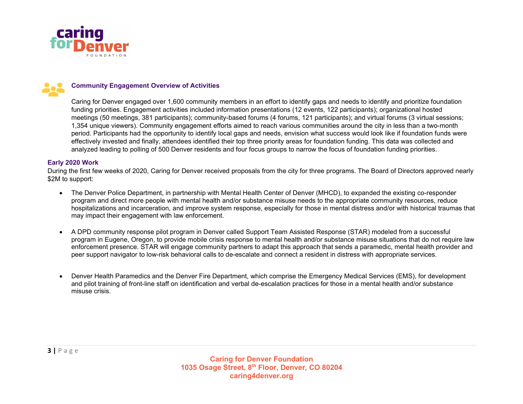



#### Community Engagement Overview of Activities

Caring for Denver engaged over 1,600 community members in an effort to identify gaps and needs to identify and prioritize foundation funding priorities. Engagement activities included information presentations (12 events, 122 participants); organizational hosted meetings (50 meetings, 381 participants); community-based forums (4 forums, 121 participants); and virtual forums (3 virtual sessions; 1,354 unique viewers). Community engagement efforts aimed to reach various communities around the city in less than a two-month period. Participants had the opportunity to identify local gaps and needs, envision what success would look like if foundation funds were effectively invested and finally, attendees identified their top three priority areas for foundation funding. This data was collected and analyzed leading to polling of 500 Denver residents and four focus groups to narrow the focus of foundation funding priorities.

#### Early 2020 Work

During the first few weeks of 2020, Caring for Denver received proposals from the city for three programs. The Board of Directors approved nearly \$2M to support:

- The Denver Police Department, in partnership with Mental Health Center of Denver (MHCD), to expanded the existing co-responder program and direct more people with mental health and/or substance misuse needs to the appropriate community resources, reduce hospitalizations and incarceration, and improve system response, especially for those in mental distress and/or with historical traumas that may impact their engagement with law enforcement.
- A DPD community response pilot program in Denver called Support Team Assisted Response (STAR) modeled from a successful program in Eugene, Oregon, to provide mobile crisis response to mental health and/or substance misuse situations that do not require law enforcement presence. STAR will engage community partners to adapt this approach that sends a paramedic, mental health provider and peer support navigator to low-risk behavioral calls to de-escalate and connect a resident in distress with appropriate services.
- Denver Health Paramedics and the Denver Fire Department, which comprise the Emergency Medical Services (EMS), for development and pilot training of front-line staff on identification and verbal de-escalation practices for those in a mental health and/or substance misuse crisis.